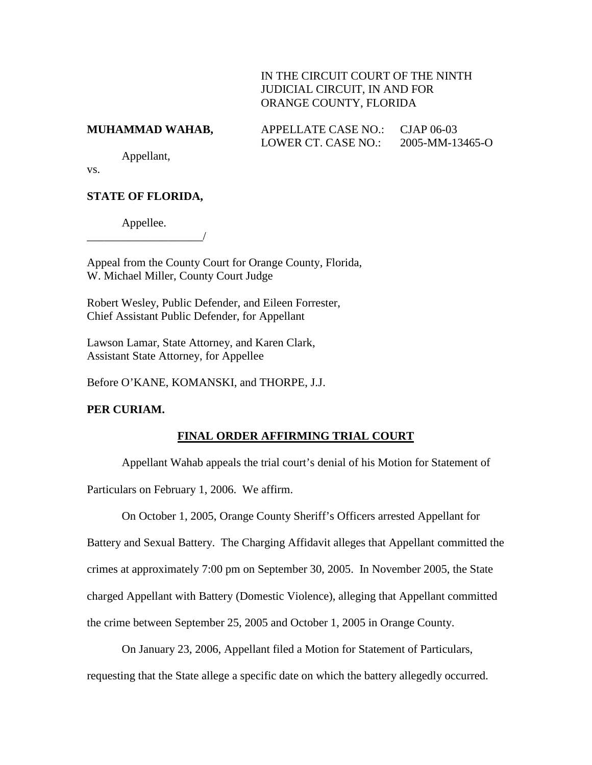## IN THE CIRCUIT COURT OF THE NINTH JUDICIAL CIRCUIT, IN AND FOR ORANGE COUNTY, FLORIDA

| MUHAMMAD WAHAB, | APPELLATE CASE NO.: CJAP 06-03 |                 |
|-----------------|--------------------------------|-----------------|
|                 | LOWER CT. CASE NO.:            | 2005-MM-13465-O |

Appellant,

vs.

# **STATE OF FLORIDA,**

Appellee. \_\_\_\_\_\_\_\_\_\_\_\_\_\_\_\_\_\_\_\_/

Appeal from the County Court for Orange County, Florida, W. Michael Miller, County Court Judge

Robert Wesley, Public Defender, and Eileen Forrester, Chief Assistant Public Defender, for Appellant

Lawson Lamar, State Attorney, and Karen Clark, Assistant State Attorney, for Appellee

Before O'KANE, KOMANSKI, and THORPE, J.J.

### **PER CURIAM.**

# **FINAL ORDER AFFIRMING TRIAL COURT**

Appellant Wahab appeals the trial court's denial of his Motion for Statement of

Particulars on February 1, 2006. We affirm.

On October 1, 2005, Orange County Sheriff's Officers arrested Appellant for Battery and Sexual Battery. The Charging Affidavit alleges that Appellant committed the crimes at approximately 7:00 pm on September 30, 2005. In November 2005, the State charged Appellant with Battery (Domestic Violence), alleging that Appellant committed the crime between September 25, 2005 and October 1, 2005 in Orange County.

On January 23, 2006, Appellant filed a Motion for Statement of Particulars, requesting that the State allege a specific date on which the battery allegedly occurred.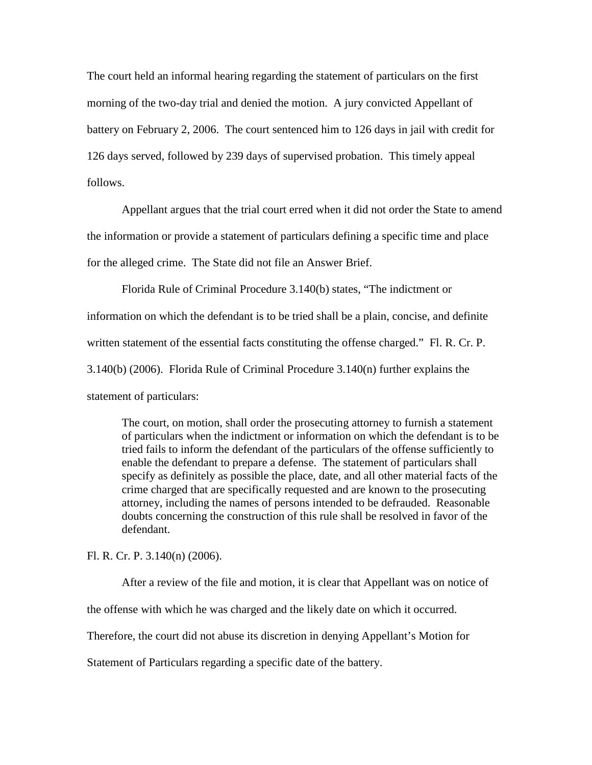The court held an informal hearing regarding the statement of particulars on the first morning of the two-day trial and denied the motion. A jury convicted Appellant of battery on February 2, 2006. The court sentenced him to 126 days in jail with credit for 126 days served, followed by 239 days of supervised probation. This timely appeal follows.

Appellant argues that the trial court erred when it did not order the State to amend the information or provide a statement of particulars defining a specific time and place for the alleged crime. The State did not file an Answer Brief.

Florida Rule of Criminal Procedure 3.140(b) states, "The indictment or information on which the defendant is to be tried shall be a plain, concise, and definite written statement of the essential facts constituting the offense charged." Fl. R. Cr. P. 3.140(b) (2006). Florida Rule of Criminal Procedure 3.140(n) further explains the statement of particulars:

The court, on motion, shall order the prosecuting attorney to furnish a statement of particulars when the indictment or information on which the defendant is to be tried fails to inform the defendant of the particulars of the offense sufficiently to enable the defendant to prepare a defense. The statement of particulars shall specify as definitely as possible the place, date, and all other material facts of the crime charged that are specifically requested and are known to the prosecuting attorney, including the names of persons intended to be defrauded. Reasonable doubts concerning the construction of this rule shall be resolved in favor of the defendant.

Fl. R. Cr. P. 3.140(n) (2006).

After a review of the file and motion, it is clear that Appellant was on notice of the offense with which he was charged and the likely date on which it occurred. Therefore, the court did not abuse its discretion in denying Appellant's Motion for Statement of Particulars regarding a specific date of the battery.